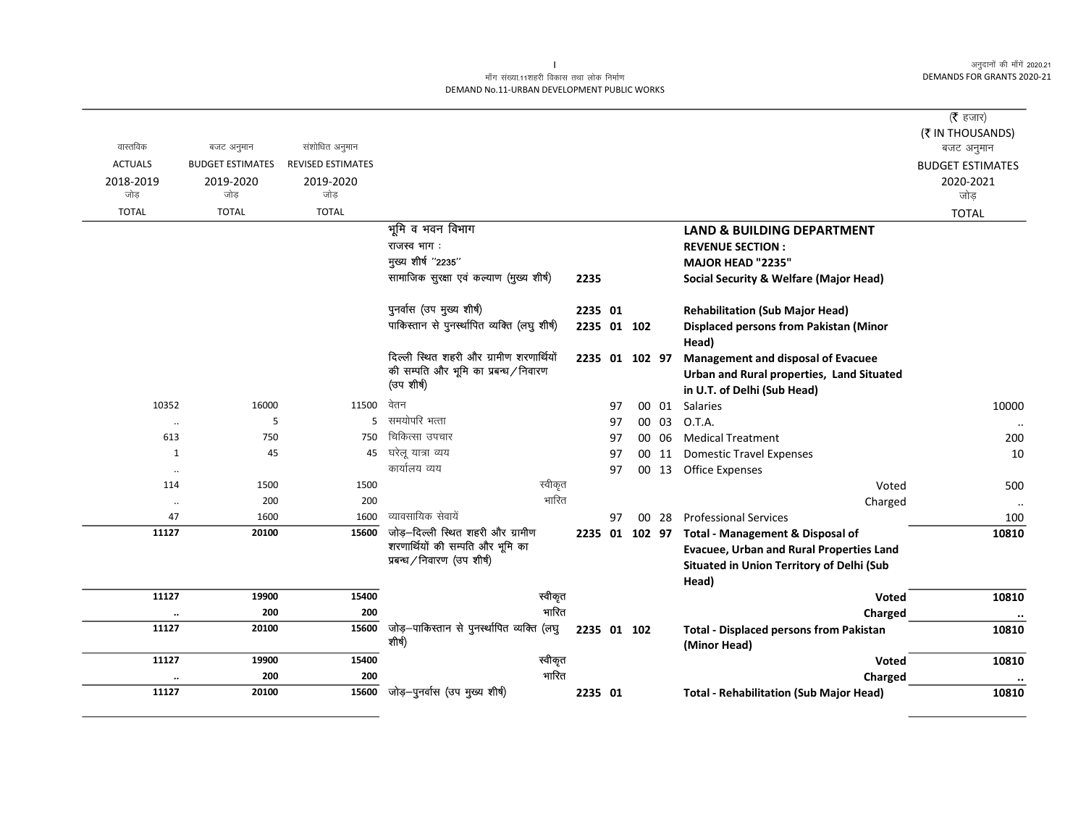## माँग संख्या.11शहरी विकास तथा लोक निर्माण DEMAND No.11-URBAN DEVELOPMENT PUBLIC WORKS

|                      |                         |                   |                                                                       |             |    |                 |       |                                                                | (रै हजार)               |
|----------------------|-------------------------|-------------------|-----------------------------------------------------------------------|-------------|----|-----------------|-------|----------------------------------------------------------------|-------------------------|
|                      |                         |                   |                                                                       |             |    |                 |       |                                                                | (₹ IN THOUSANDS)        |
| वास्तविक             | बजट अनुमान              | संशोधित अनुमान    |                                                                       |             |    |                 |       |                                                                | बजट अनुमान              |
| <b>ACTUALS</b>       | <b>BUDGET ESTIMATES</b> | REVISED ESTIMATES |                                                                       |             |    |                 |       |                                                                | <b>BUDGET ESTIMATES</b> |
| 2018-2019            | 2019-2020               | 2019-2020         |                                                                       |             |    |                 |       |                                                                | 2020-2021               |
| जोड़                 | जोड़                    | जोड़              |                                                                       |             |    |                 |       |                                                                | जोड़                    |
| <b>TOTAL</b>         | <b>TOTAL</b>            | <b>TOTAL</b>      |                                                                       |             |    |                 |       |                                                                | <b>TOTAL</b>            |
|                      |                         |                   | भूमि व भवन विभाग                                                      |             |    |                 |       | <b>LAND &amp; BUILDING DEPARTMENT</b>                          |                         |
|                      |                         |                   | राजस्व भाग:                                                           |             |    |                 |       | <b>REVENUE SECTION:</b>                                        |                         |
|                      |                         |                   | मुख्य शीर्ष "2235"                                                    |             |    |                 |       | MAJOR HEAD "2235"                                              |                         |
|                      |                         |                   | सामाजिक सुरक्षा एवं कल्याण (मुख्य शीर्ष)                              | 2235        |    |                 |       | <b>Social Security &amp; Welfare (Major Head)</b>              |                         |
|                      |                         |                   | पुनर्वास (उप मुख्य शीर्ष)                                             | 2235 01     |    |                 |       | <b>Rehabilitation (Sub Major Head)</b>                         |                         |
|                      |                         |                   | पाकिस्तान से पुनर्स्थापित व्यक्ति (लघु शीर्ष)                         | 2235 01 102 |    |                 |       | <b>Displaced persons from Pakistan (Minor</b>                  |                         |
|                      |                         |                   |                                                                       |             |    |                 |       | Head)                                                          |                         |
|                      |                         |                   | दिल्ली स्थित शहरी और ग्रामीण शरणार्थियों                              |             |    | 2235 01 102 97  |       | <b>Management and disposal of Evacuee</b>                      |                         |
|                      |                         |                   | की सम्पति और भूमि का प्रबन्ध / निवारण<br>(उप शीर्ष)                   |             |    |                 |       | Urban and Rural properties, Land Situated                      |                         |
|                      |                         |                   |                                                                       |             |    |                 |       | in U.T. of Delhi (Sub Head)                                    |                         |
| 10352                | 16000                   | 11500             | वेतन                                                                  |             | 97 |                 | 00 01 | Salaries                                                       | 10000                   |
|                      | 5                       | 5                 | समयोपरि भत्ता                                                         |             | 97 | 00              | 03    | O.T.A.                                                         | $\ddot{\phantom{a}}$    |
| 613                  | 750                     | 750               | चिकित्सा उपचार                                                        |             | 97 | 00              | 06    | <b>Medical Treatment</b>                                       | 200                     |
| 1                    | 45                      | 45                | घरेलू यात्रा व्यय                                                     |             | 97 | 00              | 11    | <b>Domestic Travel Expenses</b>                                | 10                      |
| $\ddotsc$            |                         |                   | कार्यालय व्यय                                                         |             | 97 | 00              |       | 13 Office Expenses                                             |                         |
| 114                  | 1500                    | 1500              | स्वीकृत                                                               |             |    |                 |       | Voted                                                          | 500                     |
| $\cdot \cdot$        | 200                     | 200               | भारित                                                                 |             |    |                 |       | Charged                                                        | $\ldots$                |
| 47                   | 1600                    | 1600              | व्यावसायिक सेवायें                                                    |             | 97 | 00 <sup>1</sup> |       | 28 Professional Services                                       | 100                     |
| 11127                | 20100                   | 15600             | जोड़-दिल्ली स्थित शहरी और ग्रामीण<br>शरणार्थियों की सम्पति और भूमि का |             |    |                 |       | 2235 01 102 97 Total - Management & Disposal of                | 10810                   |
|                      |                         |                   | प्रबन्ध/निवारण (उप शीर्ष)                                             |             |    |                 |       | <b>Evacuee, Urban and Rural Properties Land</b>                |                         |
|                      |                         |                   |                                                                       |             |    |                 |       | Situated in Union Territory of Delhi (Sub                      |                         |
|                      |                         |                   |                                                                       |             |    |                 |       | Head)                                                          |                         |
| 11127                | 19900                   | 15400             | स्वीकृत                                                               |             |    |                 |       | Voted                                                          | 10810                   |
| $\ddot{\phantom{0}}$ | 200                     | 200               | भारित                                                                 |             |    |                 |       | Charged                                                        | $\ddotsc$               |
| 11127                | 20100                   | 15600             | जोड़-पाकिस्तान से पुनर्स्थापित व्यक्ति (लघु<br>शीर्ष)                 | 2235 01 102 |    |                 |       | <b>Total - Displaced persons from Pakistan</b><br>(Minor Head) | 10810                   |
| 11127                | 19900                   | 15400             | स्वीकृत                                                               |             |    |                 |       | Voted                                                          | 10810                   |
|                      | 200                     | 200               | भारित                                                                 |             |    |                 |       | Charged                                                        | $\cdot\cdot$            |
| 11127                | 20100                   | 15600             | जोड़-पुनर्वास (उप मुख्य शीर्ष)                                        | 2235 01     |    |                 |       | <b>Total - Rehabilitation (Sub Major Head)</b>                 | 10810                   |

 $\mathbf{L}$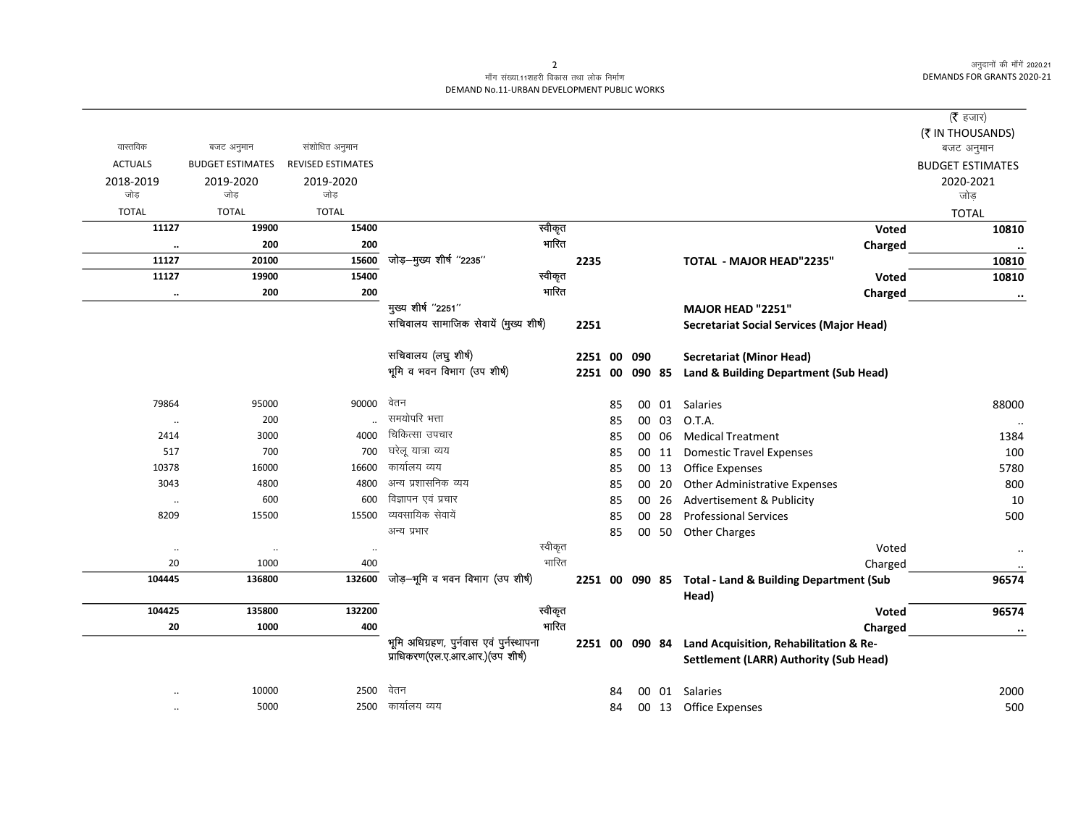## माँग संख्या.11शहरी विकास तथा लोक निर्माण DEMAND No.11-URBAN DEVELOPMENT PUBLIC WORKS

|                               |                         |                          |                                          |                |    |       |                                                        | ( <b>रै</b> हजार)       |
|-------------------------------|-------------------------|--------------------------|------------------------------------------|----------------|----|-------|--------------------------------------------------------|-------------------------|
|                               |                         |                          |                                          |                |    |       |                                                        | (₹ IN THOUSANDS)        |
| वास्तविक                      | बजट अनुमान              | संशोधित अनुमान           |                                          |                |    |       |                                                        | बजट अनुमान              |
| <b>ACTUALS</b>                | <b>BUDGET ESTIMATES</b> | <b>REVISED ESTIMATES</b> |                                          |                |    |       |                                                        | <b>BUDGET ESTIMATES</b> |
| 2018-2019<br>जोड़             | 2019-2020<br>जोड        | 2019-2020<br>जोड़        |                                          |                |    |       |                                                        | 2020-2021               |
|                               |                         |                          |                                          |                |    |       |                                                        | जोड़                    |
| <b>TOTAL</b>                  | <b>TOTAL</b>            | <b>TOTAL</b>             |                                          |                |    |       |                                                        | <b>TOTAL</b>            |
| 11127                         | 19900                   | 15400                    | स्वीकृत<br>भारित                         |                |    |       | Voted                                                  | 10810                   |
| $\ddot{\phantom{0}}$<br>11127 | 200                     | 200<br>15600             | जोड़-मुख्य शीर्ष "2235"                  |                |    |       | Charged                                                | $\cdot\cdot$            |
| 11127                         | 20100                   | 15400                    | स्वीकृत                                  | 2235           |    |       | TOTAL - MAJOR HEAD"2235"                               | 10810                   |
|                               | 19900<br>200            | 200                      | भारित                                    |                |    |       | Voted                                                  | 10810                   |
| $\cdot\cdot$                  |                         |                          | मुख्य शीर्ष "2251"                       |                |    |       | Charged                                                | $\ddotsc$               |
|                               |                         |                          | सचिवालय सामाजिक सेवायें (मुख्य शीर्ष)    | 2251           |    |       | MAJOR HEAD "2251"                                      |                         |
|                               |                         |                          |                                          |                |    |       | <b>Secretariat Social Services (Major Head)</b>        |                         |
|                               |                         |                          | सचिवालय (लघु शीर्ष)                      | 2251 00 090    |    |       | <b>Secretariat (Minor Head)</b>                        |                         |
|                               |                         |                          | भूमि व भवन विभाग (उप शीर्ष)              | 2251 00 090 85 |    |       | Land & Building Department (Sub Head)                  |                         |
|                               |                         |                          |                                          |                |    |       |                                                        |                         |
| 79864                         | 95000                   | 90000                    | वेतन                                     |                | 85 |       | 00 01 Salaries                                         | 88000                   |
| $\ldots$                      | 200                     |                          | समयोपरि भत्ता                            |                | 85 | 00 03 | O.T.A.                                                 | $\cdot\cdot$            |
| 2414                          | 3000                    | 4000                     | चिकित्सा उपचार                           |                | 85 | 00 06 | <b>Medical Treatment</b>                               | 1384                    |
| 517                           | 700                     | 700                      | घरेलू यात्रा व्यय                        |                | 85 | 00 11 | <b>Domestic Travel Expenses</b>                        | 100                     |
| 10378                         | 16000                   | 16600                    | कार्यालय व्यय                            |                | 85 | 00 13 | <b>Office Expenses</b>                                 | 5780                    |
| 3043                          | 4800                    | 4800                     | अन्य प्रशासनिक व्यय                      |                | 85 | 00 20 | <b>Other Administrative Expenses</b>                   | 800                     |
| $\ddotsc$                     | 600                     | 600                      | विज्ञापन एवं प्रचार                      |                | 85 | 00 26 | Advertisement & Publicity                              | 10                      |
| 8209                          | 15500                   | 15500                    | व्यवसायिक सेवायें                        |                | 85 | 00 28 | <b>Professional Services</b>                           | 500                     |
|                               |                         |                          | अन्य प्रभार                              |                | 85 |       | 00 50 Other Charges                                    |                         |
| $\cdot\cdot$                  | $\cdot\cdot$            | $\ddotsc$                | स्वीकृत                                  |                |    |       | Voted                                                  | $\cdot\cdot$            |
| 20                            | 1000                    | 400                      | भारित                                    |                |    |       | Charged                                                | $\cdot\cdot$            |
| 104445                        | 136800                  | 132600                   | जोड़-भूमि व भवन विभाग (उप शीर्ष)         |                |    |       | 2251 00 090 85 Total - Land & Building Department (Sub | 96574                   |
|                               |                         |                          |                                          |                |    |       | Head)                                                  |                         |
| 104425                        | 135800                  | 132200                   | स्वीकृत                                  |                |    |       | Voted                                                  | 96574                   |
| 20                            | 1000                    | 400                      | भारित                                    |                |    |       | Charged                                                | $\ddotsc$               |
|                               |                         |                          | भूमि अधिग्रहण, पुर्नवास एवं पुर्नस्थापना |                |    |       | 2251 00 090 84 Land Acquisition, Rehabilitation & Re-  |                         |
|                               |                         |                          | प्राधिकरण(एल.ए.आर.आर.)(उप शीर्ष)         |                |    |       | <b>Settlement (LARR) Authority (Sub Head)</b>          |                         |
|                               |                         |                          |                                          |                |    |       |                                                        |                         |
|                               | 10000                   | 2500                     | वेतन                                     |                | 84 |       | 00 01 Salaries                                         | 2000                    |
| $\ddotsc$                     | 5000                    | 2500                     | कार्यालय व्यय                            |                | 84 |       | 00 13 Office Expenses                                  | 500                     |

 $\overline{2}$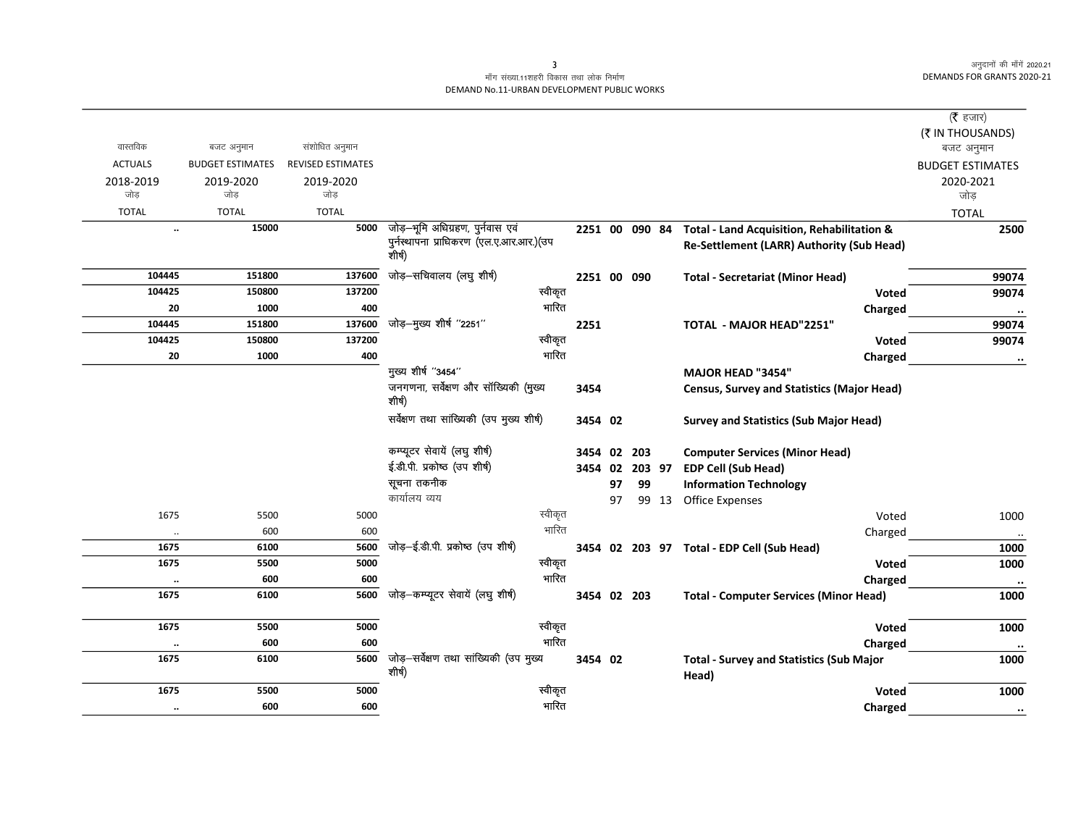## माँग संख्या.11शहरी विकास तथा लोक निर्माण DEMAND No.11-URBAN DEVELOPMENT PUBLIC WORKS

|                      |                         |                          |                                                   |       |                |    |        |       |                                                   | (रै हजार)               |
|----------------------|-------------------------|--------------------------|---------------------------------------------------|-------|----------------|----|--------|-------|---------------------------------------------------|-------------------------|
|                      |                         |                          |                                                   |       |                |    |        |       |                                                   | (₹ IN THOUSANDS)        |
| वास्तविक             | बजट अनुमान              | संशोधित अनुमान           |                                                   |       |                |    |        |       |                                                   | बजट अनुमान              |
| <b>ACTUALS</b>       | <b>BUDGET ESTIMATES</b> | <b>REVISED ESTIMATES</b> |                                                   |       |                |    |        |       |                                                   | <b>BUDGET ESTIMATES</b> |
| 2018-2019            | 2019-2020               | 2019-2020                |                                                   |       |                |    |        |       |                                                   | 2020-2021               |
| जोड़                 | जोड़                    | जोड                      |                                                   |       |                |    |        |       |                                                   | जोड                     |
| <b>TOTAL</b>         | <b>TOTAL</b>            | <b>TOTAL</b>             |                                                   |       |                |    |        |       |                                                   | <b>TOTAL</b>            |
|                      | 15000<br>$\ddotsc$      | 5000                     | जोड़-भूमि अधिग्रहण, पुर्नवास एवं                  |       | 2251 00 090 84 |    |        |       | Total - Land Acquisition, Rehabilitation &        | 2500                    |
|                      |                         |                          | पुर्नस्थापना प्राधिकरण (एल.ए.आर.आर.)(उप<br>शीर्ष) |       |                |    |        |       | <b>Re-Settlement (LARR) Authority (Sub Head)</b>  |                         |
| 104445               | 151800                  | 137600                   | जोड़–सचिवालय (लघु शीर्ष)                          |       | 2251 00 090    |    |        |       | <b>Total - Secretariat (Minor Head)</b>           | 99074                   |
| 104425               | 150800                  | 137200                   | स्वीकृत                                           |       |                |    |        |       | Voted                                             | 99074                   |
| 20                   | 1000                    | 400                      |                                                   | भारित |                |    |        |       | Charged                                           | $\cdot\cdot$            |
| 104445               | 151800                  | 137600                   | जोड़-मुख्य शीर्ष "2251"                           |       | 2251           |    |        |       | <b>TOTAL - MAJOR HEAD"2251"</b>                   | 99074                   |
| 104425               | 150800                  | 137200                   | स्वीकृत                                           |       |                |    |        |       | Voted                                             | 99074                   |
| 20                   | 1000                    | 400                      |                                                   | भारित |                |    |        |       | Charged                                           | $\bullet\bullet$        |
|                      |                         |                          | मुख्य शीर्ष "3454"                                |       |                |    |        |       | <b>MAJOR HEAD "3454"</b>                          |                         |
|                      |                         |                          | जनगणना, सर्वेक्षण और सॉख्यिकी (मुख्य<br>शीर्ष)    |       | 3454           |    |        |       | <b>Census, Survey and Statistics (Major Head)</b> |                         |
|                      |                         |                          | सर्वेक्षण तथा सांख्यिकी (उप मुख्य शीर्ष)          |       | 3454 02        |    |        |       | <b>Survey and Statistics (Sub Major Head)</b>     |                         |
|                      |                         |                          | कम्प्यूटर सेवायें (लघु शीर्ष)                     |       | 3454 02        |    | 203    |       | <b>Computer Services (Minor Head)</b>             |                         |
|                      |                         |                          | ई.डी.पी. प्रकोष्ठ (उप शीर्ष)                      |       | 3454 02        |    | 203 97 |       | <b>EDP Cell (Sub Head)</b>                        |                         |
|                      |                         |                          | सूचना तकनीक                                       |       |                | 97 | 99     |       | <b>Information Technology</b>                     |                         |
|                      |                         |                          | कार्यालय व्यय                                     |       |                | 97 |        | 99 13 | <b>Office Expenses</b>                            |                         |
| 1675                 | 5500                    | 5000                     | स्वीकृत                                           |       |                |    |        |       | Voted                                             | 1000                    |
| $\ddot{\phantom{0}}$ | 600                     | 600                      |                                                   | भारित |                |    |        |       | Charged                                           | $\cdot\cdot$            |
| 1675                 | 6100                    | 5600                     | जोड़-ई.डी.पी. प्रकोष्ठ (उप शीर्ष)                 |       |                |    |        |       | 3454 02 203 97 Total - EDP Cell (Sub Head)        | 1000                    |
| 1675                 | 5500                    | 5000                     | स्वीकृत                                           |       |                |    |        |       | Voted                                             | 1000                    |
| $\ddot{\phantom{0}}$ | 600                     | 600                      |                                                   | भारित |                |    |        |       | Charged                                           | $\ddot{\phantom{a}}$    |
| 1675                 | 6100                    | 5600                     | जोड़-कम्प्यूटर सेवायें (लघु शीर्ष)                |       | 3454 02 203    |    |        |       | <b>Total - Computer Services (Minor Head)</b>     | 1000                    |
| 1675                 | 5500                    | 5000                     | स्वीकृत                                           |       |                |    |        |       |                                                   |                         |
|                      | 600                     | 600                      |                                                   | भारित |                |    |        |       | Voted                                             | 1000                    |
| $\cdot$<br>1675      | 6100                    | 5600                     | जोड़-सर्वेक्षण तथा सांख्यिकी (उप मुख्य            |       |                |    |        |       | Charged                                           | $\ddot{\phantom{0}}$    |
|                      |                         |                          | शीर्ष)                                            |       | 3454 02        |    |        |       | <b>Total - Survey and Statistics (Sub Major</b>   | 1000                    |
| 1675                 | 5500                    | 5000                     | स्वीकृत                                           |       |                |    |        |       | Head)<br>Voted                                    | 1000                    |
|                      | 600                     | 600                      |                                                   | भारित |                |    |        |       |                                                   |                         |
|                      | $\ddotsc$               |                          |                                                   |       |                |    |        |       | Charged                                           | $\cdot\cdot$            |

 $\overline{\mathbf{3}}$